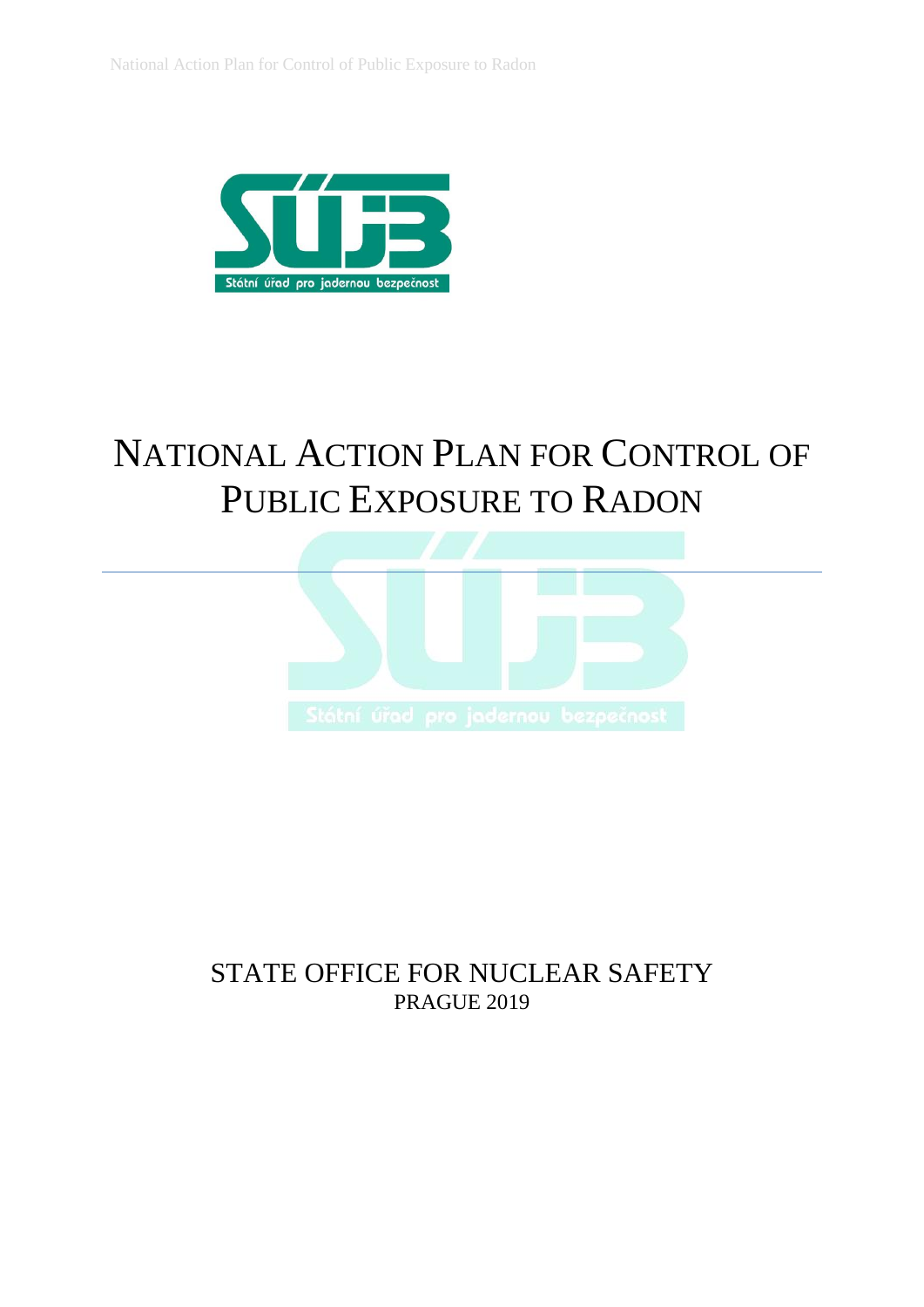

# NATIONAL ACTION PLAN FOR CONTROL OF PUBLIC EXPOSURE TO RADON



# STATE OFFICE FOR NUCLEAR SAFETY PRAGUE 2019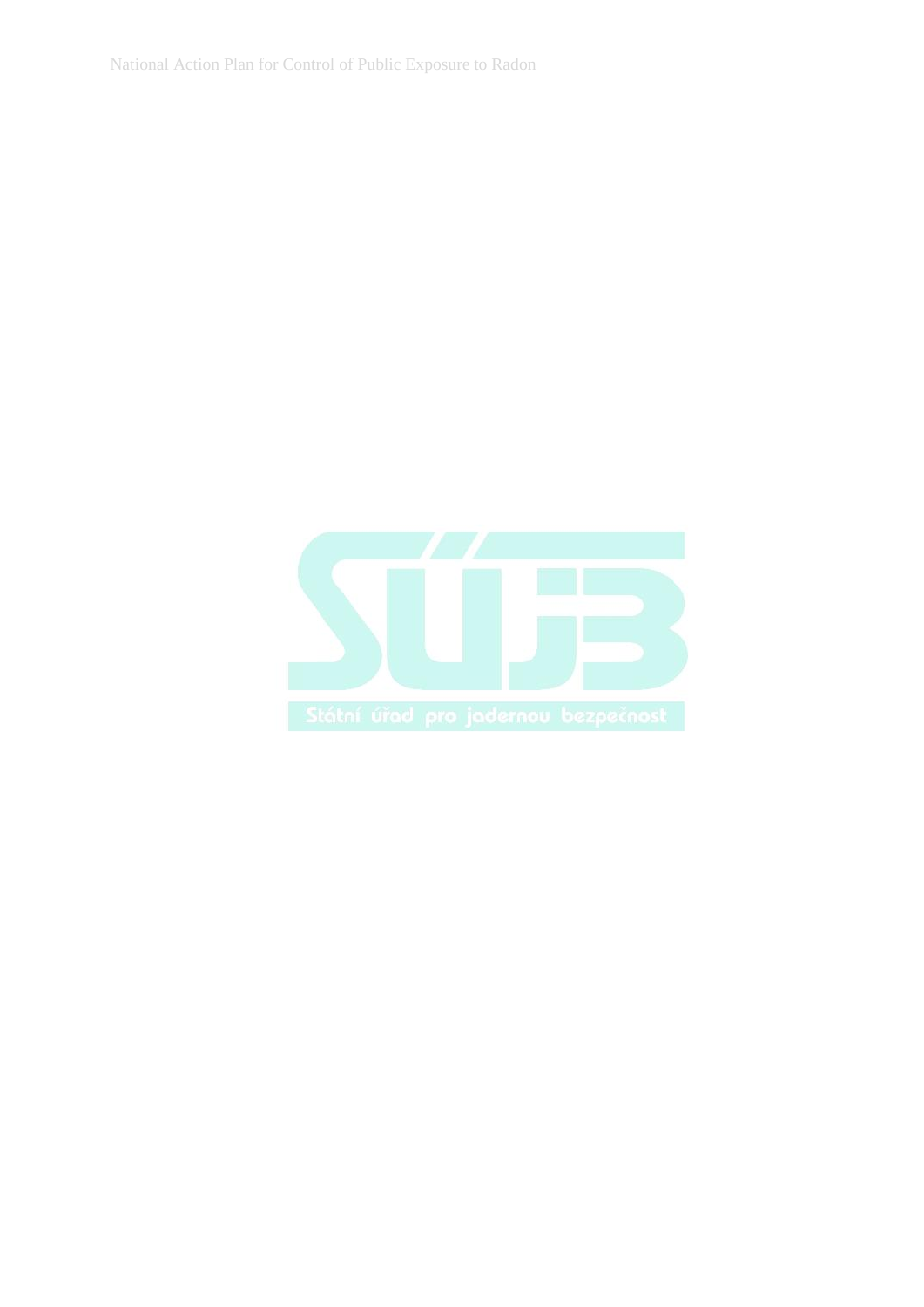National Action Plan for Control of Public Exposure to Radon

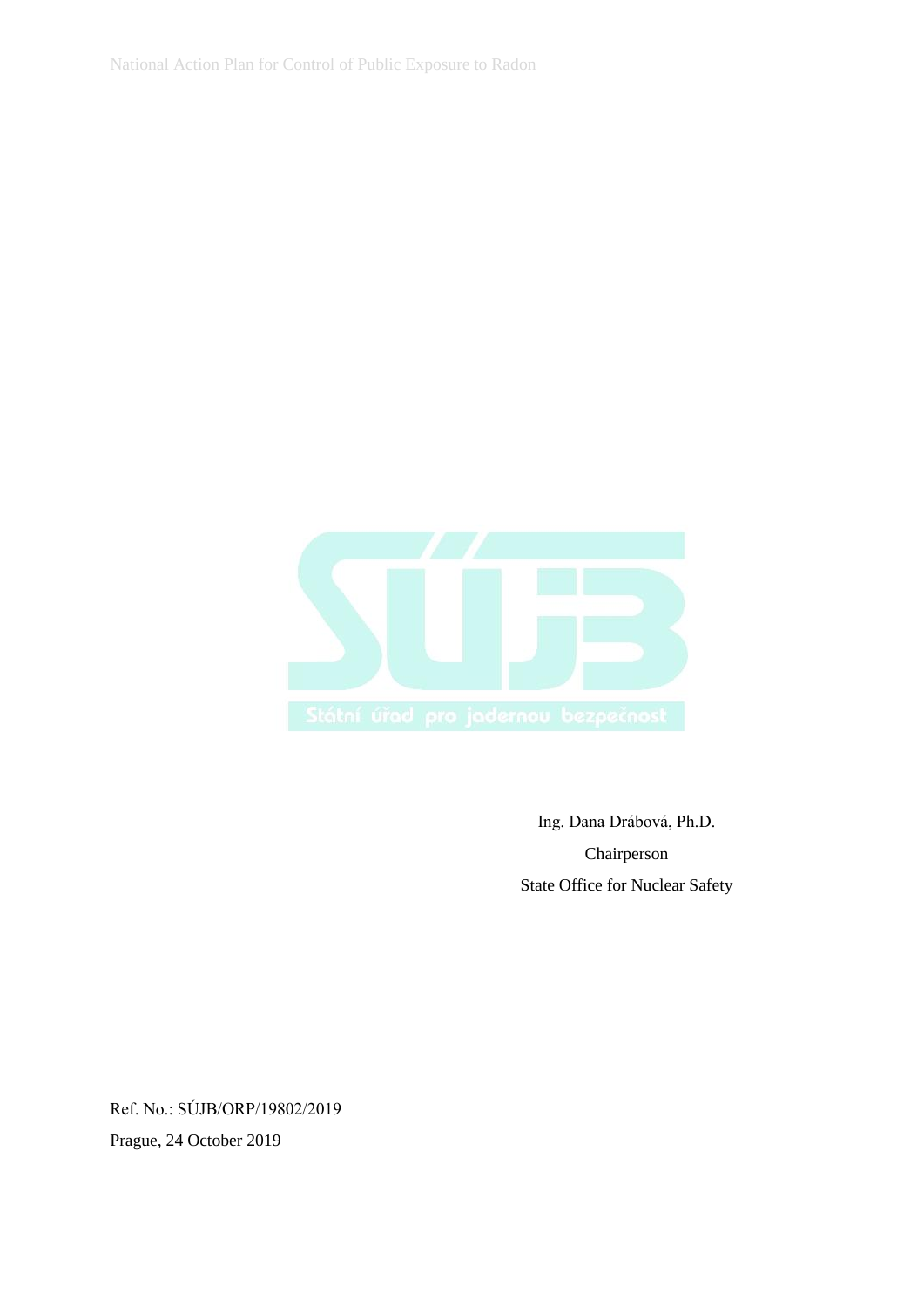National Action Plan for Control of Public Exposure to Radon



Ing. Dana Drábová, Ph.D. Chairperson State Office for Nuclear Safety

Ref. No.: SÚJB/ORP/19802/2019 Prague, 24 October 2019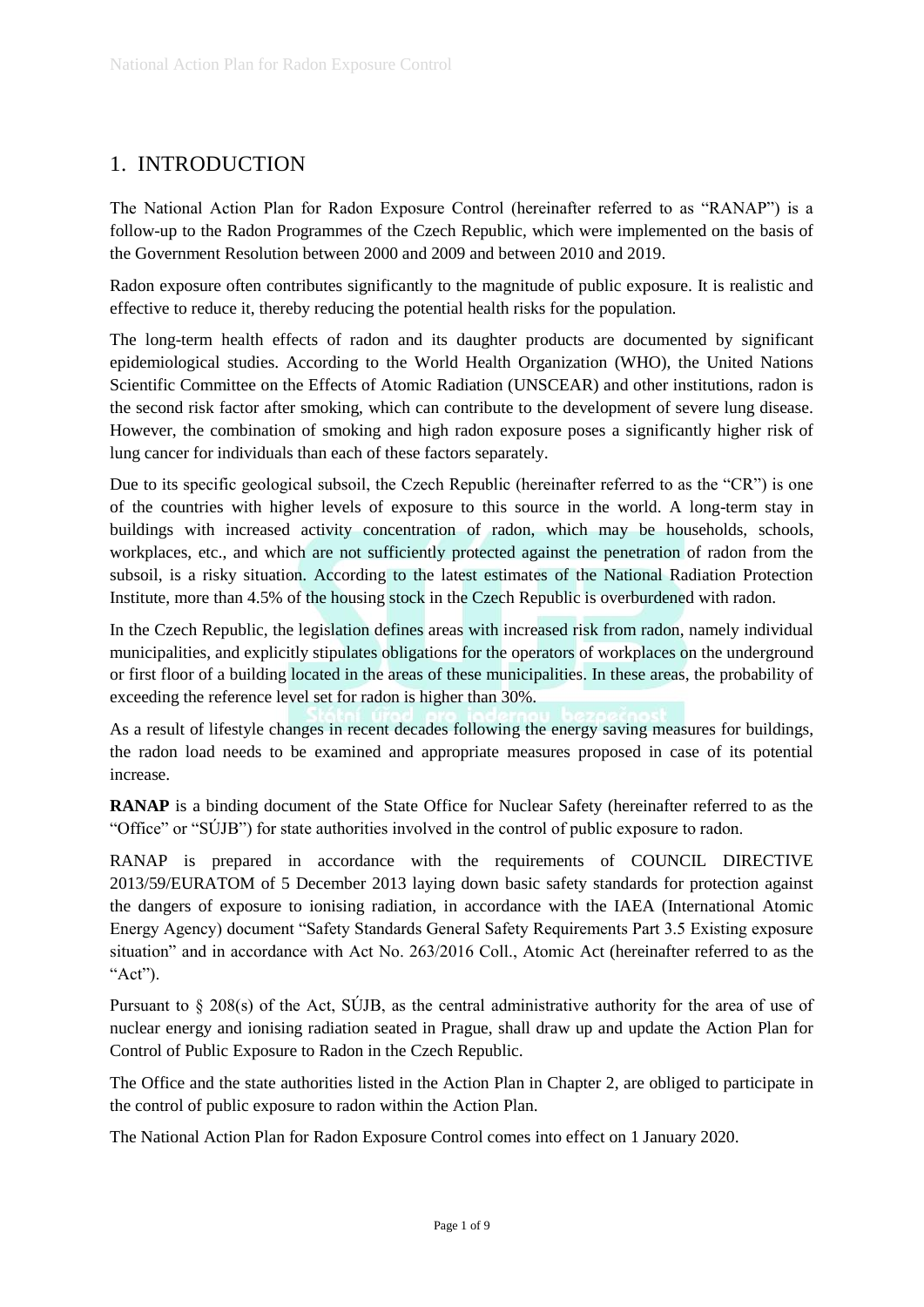# 1. INTRODUCTION

The National Action Plan for Radon Exposure Control (hereinafter referred to as "RANAP") is a follow-up to the Radon Programmes of the Czech Republic, which were implemented on the basis of the Government Resolution between 2000 and 2009 and between 2010 and 2019.

Radon exposure often contributes significantly to the magnitude of public exposure. It is realistic and effective to reduce it, thereby reducing the potential health risks for the population.

The long-term health effects of radon and its daughter products are documented by significant epidemiological studies. According to the World Health Organization (WHO), the United Nations Scientific Committee on the Effects of Atomic Radiation (UNSCEAR) and other institutions, radon is the second risk factor after smoking, which can contribute to the development of severe lung disease. However, the combination of smoking and high radon exposure poses a significantly higher risk of lung cancer for individuals than each of these factors separately.

Due to its specific geological subsoil, the Czech Republic (hereinafter referred to as the "CR") is one of the countries with higher levels of exposure to this source in the world. A long-term stay in buildings with increased activity concentration of radon, which may be households, schools, workplaces, etc., and which are not sufficiently protected against the penetration of radon from the subsoil, is a risky situation. According to the latest estimates of the National Radiation Protection Institute, more than 4.5% of the housing stock in the Czech Republic is overburdened with radon.

In the Czech Republic, the legislation defines areas with increased risk from radon, namely individual municipalities, and explicitly stipulates obligations for the operators of workplaces on the underground or first floor of a building located in the areas of these municipalities. In these areas, the probability of exceeding the reference level set for radon is higher than 30%.

As a result of lifestyle changes in recent decades following the energy saving measures for buildings, the radon load needs to be examined and appropriate measures proposed in case of its potential increase.

**RANAP** is a binding document of the State Office for Nuclear Safety (hereinafter referred to as the "Office" or "SÚJB") for state authorities involved in the control of public exposure to radon.

RANAP is prepared in accordance with the requirements of COUNCIL DIRECTIVE 2013/59/EURATOM of 5 December 2013 laying down basic safety standards for protection against the dangers of exposure to ionising radiation, in accordance with the IAEA (International Atomic Energy Agency) document "Safety Standards General Safety Requirements Part 3.5 Existing exposure situation" and in accordance with Act No. 263/2016 Coll., Atomic Act (hereinafter referred to as the "Act").

Pursuant to § 208(s) of the Act, SÚJB, as the central administrative authority for the area of use of nuclear energy and ionising radiation seated in Prague, shall draw up and update the Action Plan for Control of Public Exposure to Radon in the Czech Republic.

The Office and the state authorities listed in the Action Plan in Chapter 2, are obliged to participate in the control of public exposure to radon within the Action Plan.

The National Action Plan for Radon Exposure Control comes into effect on 1 January 2020.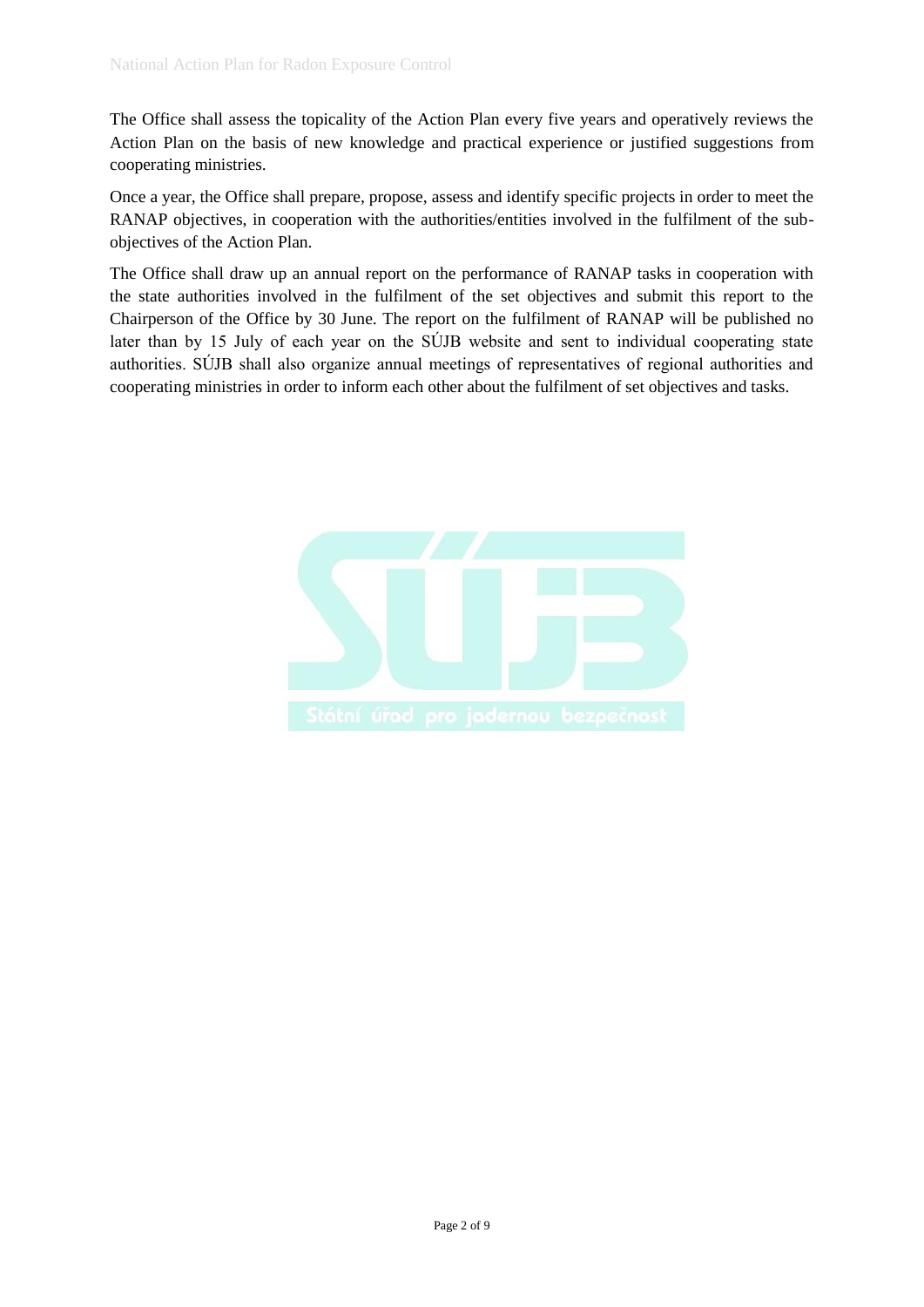The Office shall assess the topicality of the Action Plan every five years and operatively reviews the Action Plan on the basis of new knowledge and practical experience or justified suggestions from cooperating ministries.

Once a year, the Office shall prepare, propose, assess and identify specific projects in order to meet the RANAP objectives, in cooperation with the authorities/entities involved in the fulfilment of the subobjectives of the Action Plan.

The Office shall draw up an annual report on the performance of RANAP tasks in cooperation with the state authorities involved in the fulfilment of the set objectives and submit this report to the Chairperson of the Office by 30 June. The report on the fulfilment of RANAP will be published no later than by 15 July of each year on the SÚJB website and sent to individual cooperating state authorities. SÚJB shall also organize annual meetings of representatives of regional authorities and cooperating ministries in order to inform each other about the fulfilment of set objectives and tasks.

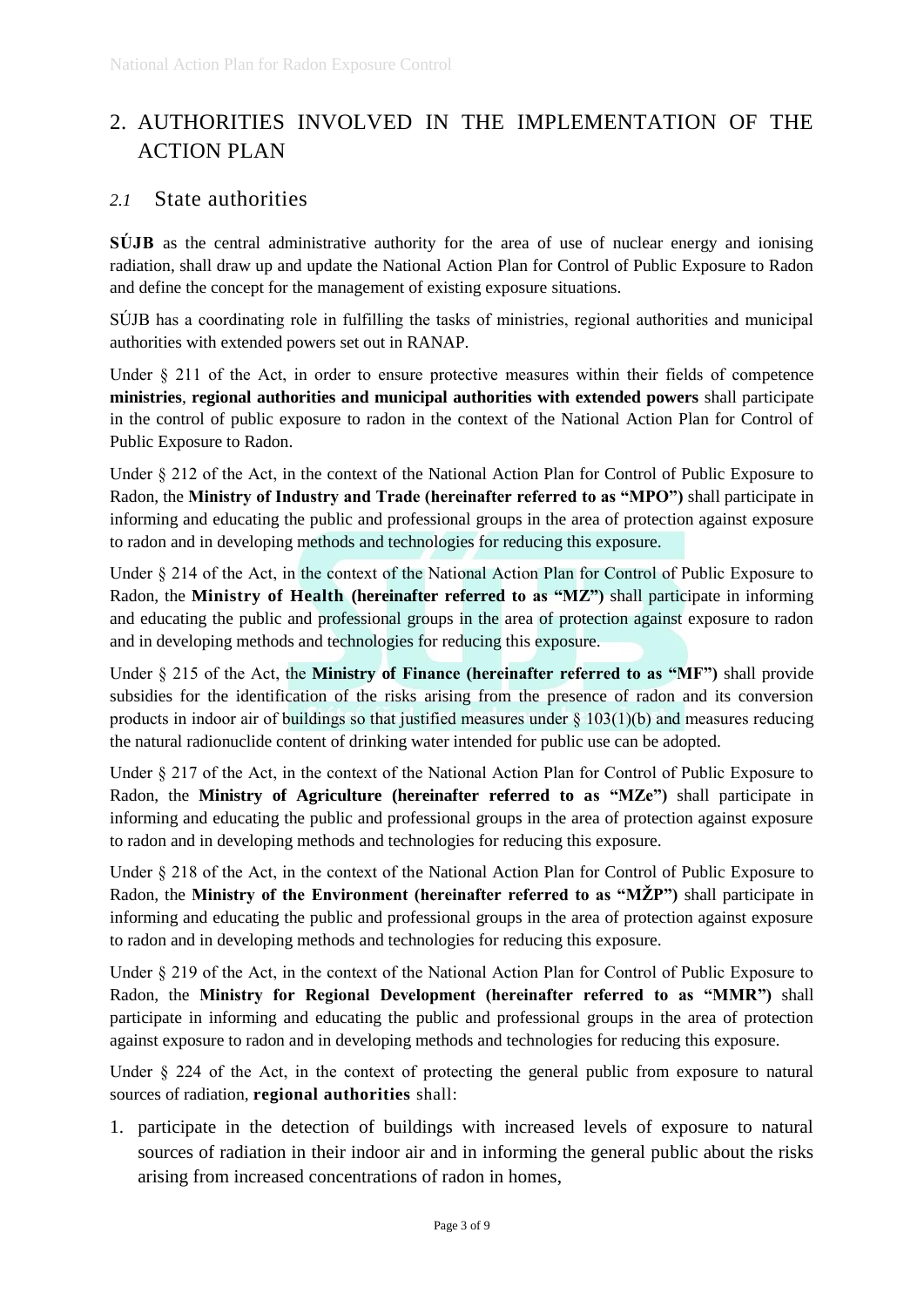# 2. AUTHORITIES INVOLVED IN THE IMPLEMENTATION OF THE ACTION PLAN

# *2.1* State authorities

**SÚJB** as the central administrative authority for the area of use of nuclear energy and ionising radiation, shall draw up and update the National Action Plan for Control of Public Exposure to Radon and define the concept for the management of existing exposure situations.

SÚJB has a coordinating role in fulfilling the tasks of ministries, regional authorities and municipal authorities with extended powers set out in RANAP.

Under § 211 of the Act, in order to ensure protective measures within their fields of competence **ministries**, **regional authorities and municipal authorities with extended powers** shall participate in the control of public exposure to radon in the context of the National Action Plan for Control of Public Exposure to Radon.

Under § 212 of the Act, in the context of the National Action Plan for Control of Public Exposure to Radon, the **Ministry of Industry and Trade (hereinafter referred to as "MPO")** shall participate in informing and educating the public and professional groups in the area of protection against exposure to radon and in developing methods and technologies for reducing this exposure.

Under § 214 of the Act, in the context of the National Action Plan for Control of Public Exposure to Radon, the **Ministry of Health (hereinafter referred to as "MZ")** shall participate in informing and educating the public and professional groups in the area of protection against exposure to radon and in developing methods and technologies for reducing this exposure.

Under § 215 of the Act, the **Ministry of Finance (hereinafter referred to as "MF")** shall provide subsidies for the identification of the risks arising from the presence of radon and its conversion products in indoor air of buildings so that justified measures under § 103(1)(b) and measures reducing the natural radionuclide content of drinking water intended for public use can be adopted.

Under § 217 of the Act, in the context of the National Action Plan for Control of Public Exposure to Radon, the **Ministry of Agriculture (hereinafter referred to as "MZe")** shall participate in informing and educating the public and professional groups in the area of protection against exposure to radon and in developing methods and technologies for reducing this exposure.

Under § 218 of the Act, in the context of the National Action Plan for Control of Public Exposure to Radon, the **Ministry of the Environment (hereinafter referred to as "MŽP")** shall participate in informing and educating the public and professional groups in the area of protection against exposure to radon and in developing methods and technologies for reducing this exposure.

Under § 219 of the Act, in the context of the National Action Plan for Control of Public Exposure to Radon, the **Ministry for Regional Development (hereinafter referred to as "MMR")** shall participate in informing and educating the public and professional groups in the area of protection against exposure to radon and in developing methods and technologies for reducing this exposure.

Under § 224 of the Act, in the context of protecting the general public from exposure to natural sources of radiation, **regional authorities** shall:

1. participate in the detection of buildings with increased levels of exposure to natural sources of radiation in their indoor air and in informing the general public about the risks arising from increased concentrations of radon in homes,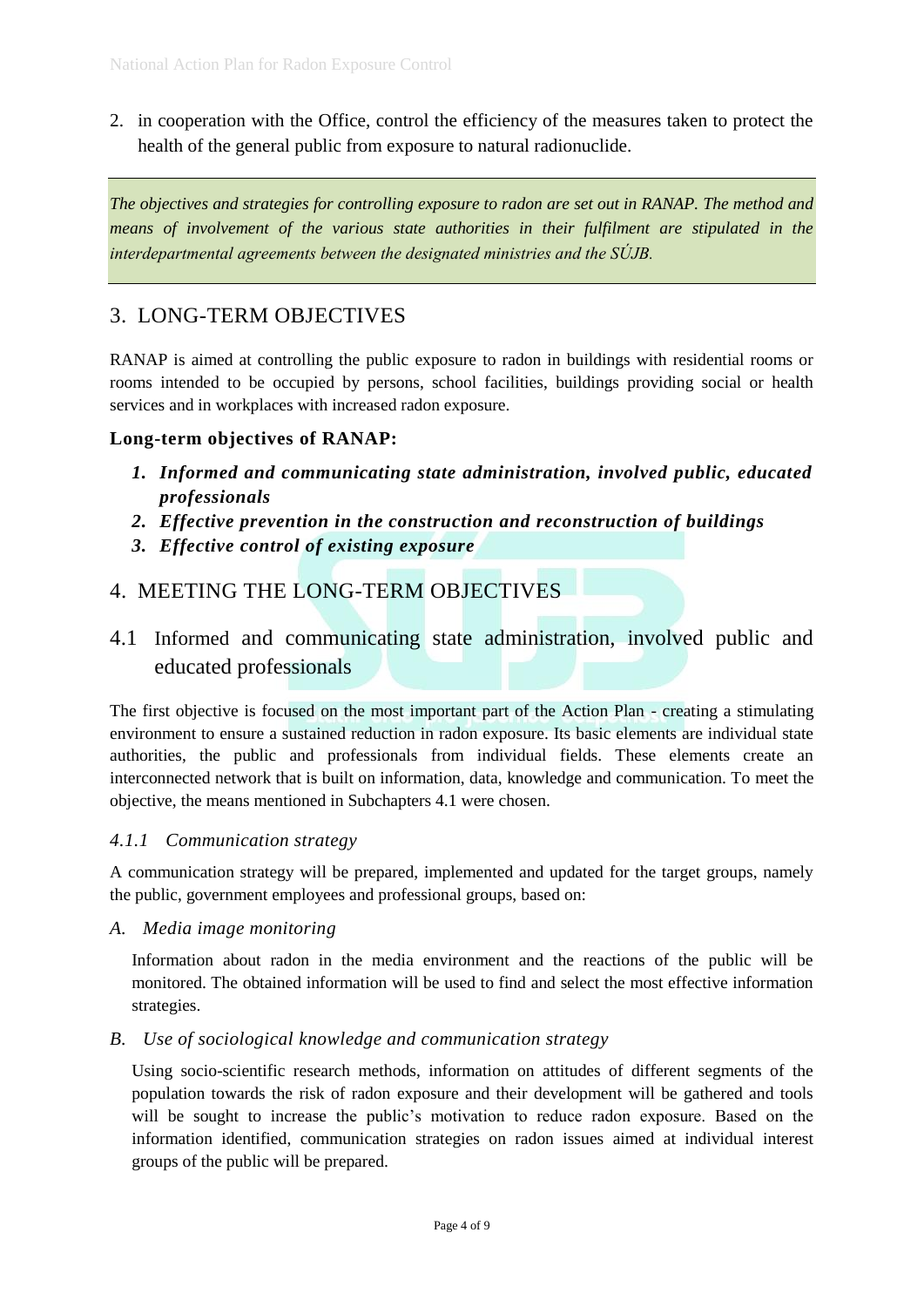2. in cooperation with the Office, control the efficiency of the measures taken to protect the health of the general public from exposure to natural radionuclide.

*The objectives and strategies for controlling exposure to radon are set out in RANAP. The method and means of involvement of the various state authorities in their fulfilment are stipulated in the interdepartmental agreements between the designated ministries and the SÚJB.*

# 3. LONG-TERM OBJECTIVES

RANAP is aimed at controlling the public exposure to radon in buildings with residential rooms or rooms intended to be occupied by persons, school facilities, buildings providing social or health services and in workplaces with increased radon exposure.

# **Long-term objectives of RANAP:**

- *1. Informed and communicating state administration, involved public, educated professionals*
- *2. Effective prevention in the construction and reconstruction of buildings*
- *3. Effective control of existing exposure*

# 4. MEETING THE LONG-TERM OBJECTIVES

4.1 Informed and communicating state administration, involved public and educated professionals

The first objective is focused on the most important part of the Action Plan - creating a stimulating environment to ensure a sustained reduction in radon exposure. Its basic elements are individual state authorities, the public and professionals from individual fields. These elements create an interconnected network that is built on information, data, knowledge and communication. To meet the objective, the means mentioned in Subchapters 4.1 were chosen.

# *4.1.1 Communication strategy*

A communication strategy will be prepared, implemented and updated for the target groups, namely the public, government employees and professional groups, based on:

*A. Media image monitoring* 

Information about radon in the media environment and the reactions of the public will be monitored. The obtained information will be used to find and select the most effective information strategies.

# *B. Use of sociological knowledge and communication strategy*

Using socio-scientific research methods, information on attitudes of different segments of the population towards the risk of radon exposure and their development will be gathered and tools will be sought to increase the public's motivation to reduce radon exposure. Based on the information identified, communication strategies on radon issues aimed at individual interest groups of the public will be prepared.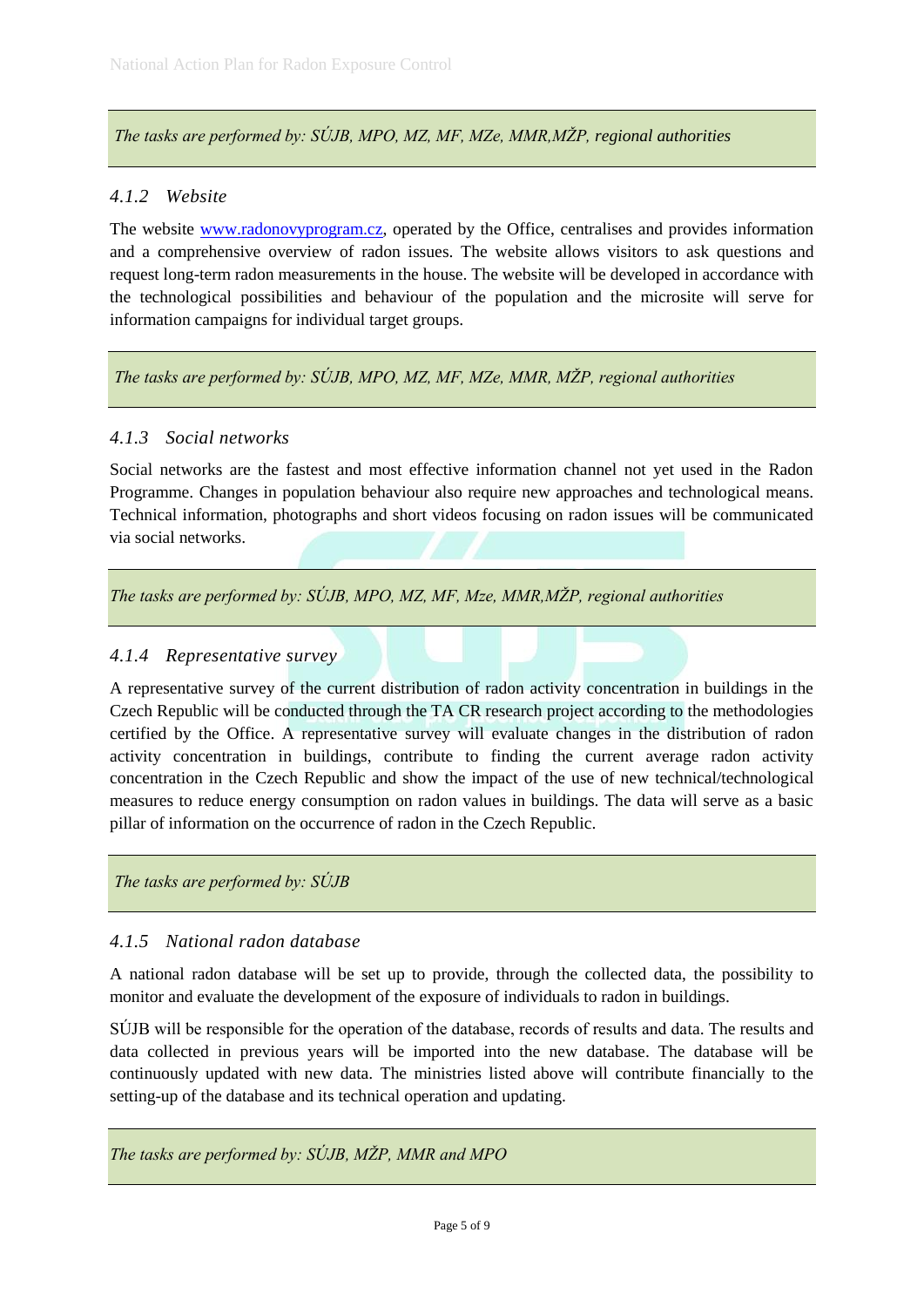*The tasks are performed by: SÚJB, MPO, MZ, MF, MZe, MMR,MŽP, regional authorities*

# *4.1.2 Website*

The website [www.radonovyprogram.cz,](http://www.radonovyprogram.cz/) operated by the Office, centralises and provides information and a comprehensive overview of radon issues. The website allows visitors to ask questions and request long-term radon measurements in the house. The website will be developed in accordance with the technological possibilities and behaviour of the population and the microsite will serve for information campaigns for individual target groups.

#### *The tasks are performed by: SÚJB, MPO, MZ, MF, MZe, MMR, MŽP, regional authorities*

#### *4.1.3 Social networks*

Social networks are the fastest and most effective information channel not yet used in the Radon Programme. Changes in population behaviour also require new approaches and technological means. Technical information, photographs and short videos focusing on radon issues will be communicated via social networks.

*The tasks are performed by: SÚJB, MPO, MZ, MF, Mze, MMR,MŽP, regional authorities*

## *4.1.4 Representative survey*

A representative survey of the current distribution of radon activity concentration in buildings in the Czech Republic will be conducted through the TA CR research project according to the methodologies certified by the Office. A representative survey will evaluate changes in the distribution of radon activity concentration in buildings, contribute to finding the current average radon activity concentration in the Czech Republic and show the impact of the use of new technical/technological measures to reduce energy consumption on radon values in buildings. The data will serve as a basic pillar of information on the occurrence of radon in the Czech Republic.

*The tasks are performed by: SÚJB*

#### *4.1.5 National radon database*

A national radon database will be set up to provide, through the collected data, the possibility to monitor and evaluate the development of the exposure of individuals to radon in buildings.

SÚJB will be responsible for the operation of the database, records of results and data. The results and data collected in previous years will be imported into the new database. The database will be continuously updated with new data. The ministries listed above will contribute financially to the setting-up of the database and its technical operation and updating.

*The tasks are performed by: SÚJB, MŽP, MMR and MPO*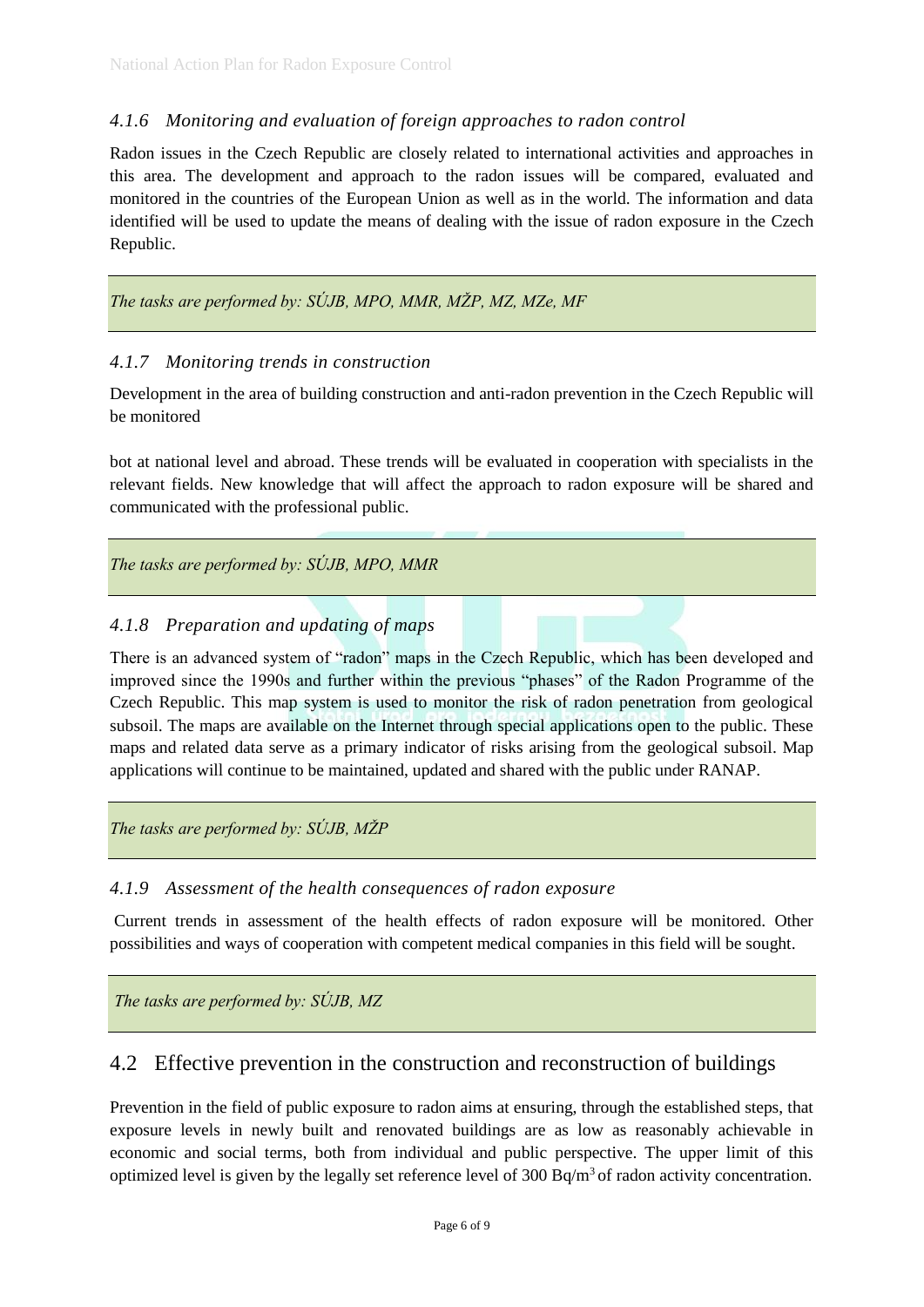# *4.1.6 Monitoring and evaluation of foreign approaches to radon control*

Radon issues in the Czech Republic are closely related to international activities and approaches in this area. The development and approach to the radon issues will be compared, evaluated and monitored in the countries of the European Union as well as in the world. The information and data identified will be used to update the means of dealing with the issue of radon exposure in the Czech Republic.

*The tasks are performed by: SÚJB, MPO, MMR, MŽP, MZ, MZe, MF* 

#### *4.1.7 Monitoring trends in construction*

Development in the area of building construction and anti-radon prevention in the Czech Republic will be monitored

bot at national level and abroad. These trends will be evaluated in cooperation with specialists in the relevant fields. New knowledge that will affect the approach to radon exposure will be shared and communicated with the professional public.

*The tasks are performed by: SÚJB, MPO, MMR*

# *4.1.8 Preparation and updating of maps*

There is an advanced system of "radon" maps in the Czech Republic, which has been developed and improved since the 1990s and further within the previous "phases" of the Radon Programme of the Czech Republic. This map system is used to monitor the risk of radon penetration from geological subsoil. The maps are available on the Internet through special applications open to the public. These maps and related data serve as a primary indicator of risks arising from the geological subsoil. Map applications will continue to be maintained, updated and shared with the public under RANAP.

*The tasks are performed by: SÚJB, MŽP*

#### *4.1.9 Assessment of the health consequences of radon exposure*

Current trends in assessment of the health effects of radon exposure will be monitored. Other possibilities and ways of cooperation with competent medical companies in this field will be sought.

*The tasks are performed by: SÚJB, MZ*

# 4.2 Effective prevention in the construction and reconstruction of buildings

Prevention in the field of public exposure to radon aims at ensuring, through the established steps, that exposure levels in newly built and renovated buildings are as low as reasonably achievable in economic and social terms, both from individual and public perspective. The upper limit of this optimized level is given by the legally set reference level of 300  $Bq/m<sup>3</sup>$  of radon activity concentration.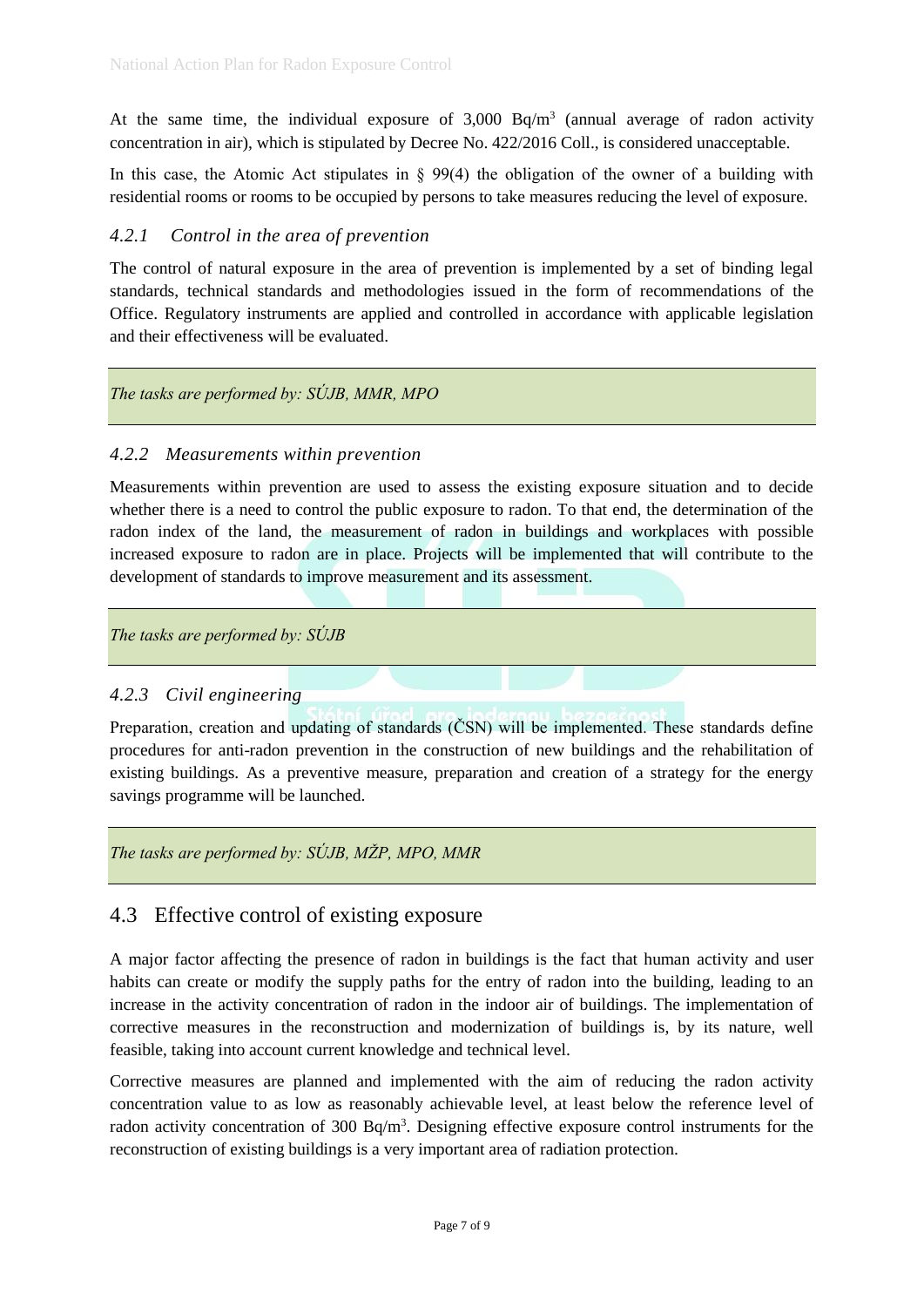At the same time, the individual exposure of  $3,000$  Bq/m<sup>3</sup> (annual average of radon activity concentration in air), which is stipulated by Decree No. 422/2016 Coll., is considered unacceptable.

In this case, the Atomic Act stipulates in  $\S$  99(4) the obligation of the owner of a building with residential rooms or rooms to be occupied by persons to take measures reducing the level of exposure.

## *4.2.1 Control in the area of prevention*

The control of natural exposure in the area of prevention is implemented by a set of binding legal standards, technical standards and methodologies issued in the form of recommendations of the Office. Regulatory instruments are applied and controlled in accordance with applicable legislation and their effectiveness will be evaluated.

# *The tasks are performed by: SÚJB, MMR, MPO*

#### *4.2.2 Measurements within prevention*

Measurements within prevention are used to assess the existing exposure situation and to decide whether there is a need to control the public exposure to radon. To that end, the determination of the radon index of the land, the measurement of radon in buildings and workplaces with possible increased exposure to radon are in place. Projects will be implemented that will contribute to the development of standards to improve measurement and its assessment.

*The tasks are performed by: SÚJB* 

#### *4.2.3 Civil engineering*

Preparation, creation and updating of standards (ČSN) will be implemented. These standards define procedures for anti-radon prevention in the construction of new buildings and the rehabilitation of existing buildings. As a preventive measure, preparation and creation of a strategy for the energy savings programme will be launched.

*The tasks are performed by: SÚJB, MŽP, MPO, MMR* 

# 4.3 Effective control of existing exposure

A major factor affecting the presence of radon in buildings is the fact that human activity and user habits can create or modify the supply paths for the entry of radon into the building, leading to an increase in the activity concentration of radon in the indoor air of buildings. The implementation of corrective measures in the reconstruction and modernization of buildings is, by its nature, well feasible, taking into account current knowledge and technical level.

Corrective measures are planned and implemented with the aim of reducing the radon activity concentration value to as low as reasonably achievable level, at least below the reference level of radon activity concentration of 300 Bq/m<sup>3</sup>. Designing effective exposure control instruments for the reconstruction of existing buildings is a very important area of radiation protection.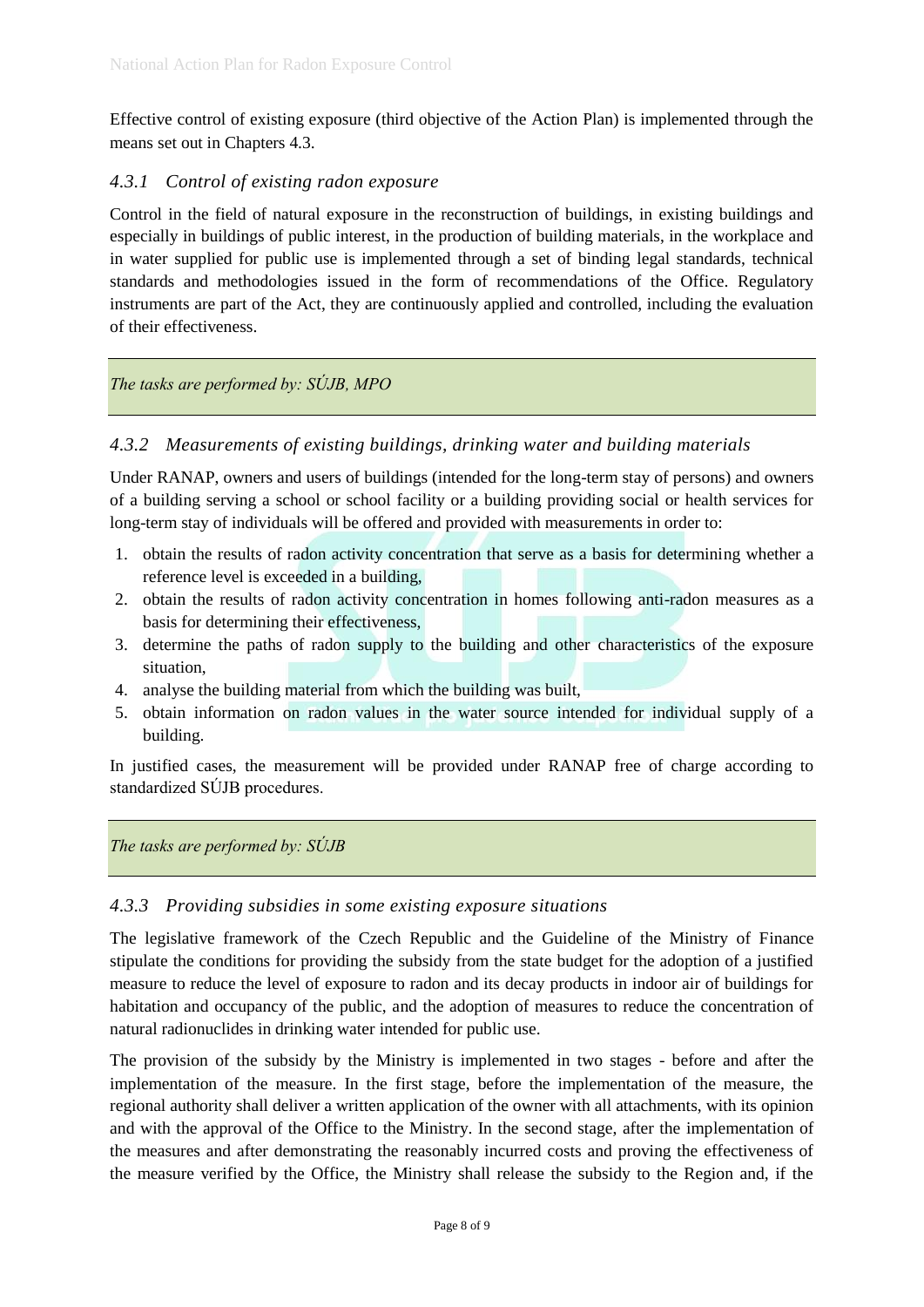Effective control of existing exposure (third objective of the Action Plan) is implemented through the means set out in Chapters 4.3.

#### *4.3.1 Control of existing radon exposure*

Control in the field of natural exposure in the reconstruction of buildings, in existing buildings and especially in buildings of public interest, in the production of building materials, in the workplace and in water supplied for public use is implemented through a set of binding legal standards, technical standards and methodologies issued in the form of recommendations of the Office. Regulatory instruments are part of the Act, they are continuously applied and controlled, including the evaluation of their effectiveness.

#### *The tasks are performed by: SÚJB, MPO*

#### *4.3.2 Measurements of existing buildings, drinking water and building materials*

Under RANAP, owners and users of buildings (intended for the long-term stay of persons) and owners of a building serving a school or school facility or a building providing social or health services for long-term stay of individuals will be offered and provided with measurements in order to:

- 1. obtain the results of radon activity concentration that serve as a basis for determining whether a reference level is exceeded in a building,
- 2. obtain the results of radon activity concentration in homes following anti-radon measures as a basis for determining their effectiveness,
- 3. determine the paths of radon supply to the building and other characteristics of the exposure situation,
- 4. analyse the building material from which the building was built,
- 5. obtain information on radon values in the water source intended for individual supply of a building.

In justified cases, the measurement will be provided under RANAP free of charge according to standardized SÚJB procedures.

*The tasks are performed by: SÚJB*

#### *4.3.3 Providing subsidies in some existing exposure situations*

The legislative framework of the Czech Republic and the Guideline of the Ministry of Finance stipulate the conditions for providing the subsidy from the state budget for the adoption of a justified measure to reduce the level of exposure to radon and its decay products in indoor air of buildings for habitation and occupancy of the public, and the adoption of measures to reduce the concentration of natural radionuclides in drinking water intended for public use.

The provision of the subsidy by the Ministry is implemented in two stages - before and after the implementation of the measure. In the first stage, before the implementation of the measure, the regional authority shall deliver a written application of the owner with all attachments, with its opinion and with the approval of the Office to the Ministry. In the second stage, after the implementation of the measures and after demonstrating the reasonably incurred costs and proving the effectiveness of the measure verified by the Office, the Ministry shall release the subsidy to the Region and, if the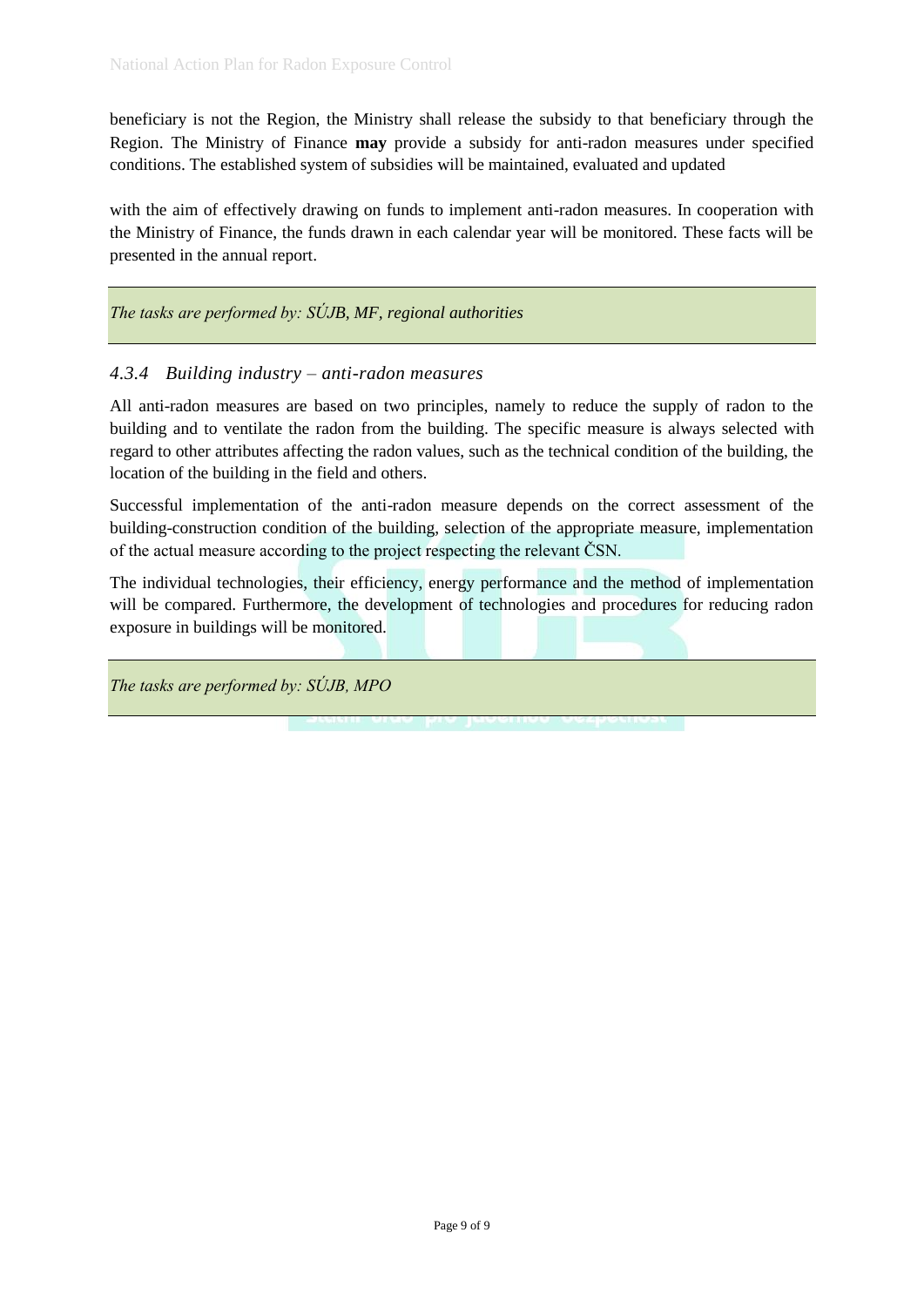beneficiary is not the Region, the Ministry shall release the subsidy to that beneficiary through the Region. The Ministry of Finance **may** provide a subsidy for anti-radon measures under specified conditions. The established system of subsidies will be maintained, evaluated and updated

with the aim of effectively drawing on funds to implement anti-radon measures. In cooperation with the Ministry of Finance, the funds drawn in each calendar year will be monitored. These facts will be presented in the annual report.

*The tasks are performed by: SÚJB, MF, regional authorities*

#### *4.3.4 Building industry – anti-radon measures*

All anti-radon measures are based on two principles, namely to reduce the supply of radon to the building and to ventilate the radon from the building. The specific measure is always selected with regard to other attributes affecting the radon values, such as the technical condition of the building, the location of the building in the field and others.

Successful implementation of the anti-radon measure depends on the correct assessment of the building-construction condition of the building, selection of the appropriate measure, implementation of the actual measure according to the project respecting the relevant ČSN.

The individual technologies, their efficiency, energy performance and the method of implementation will be compared. Furthermore, the development of technologies and procedures for reducing radon exposure in buildings will be monitored.

*The tasks are performed by: SÚJB, MPO*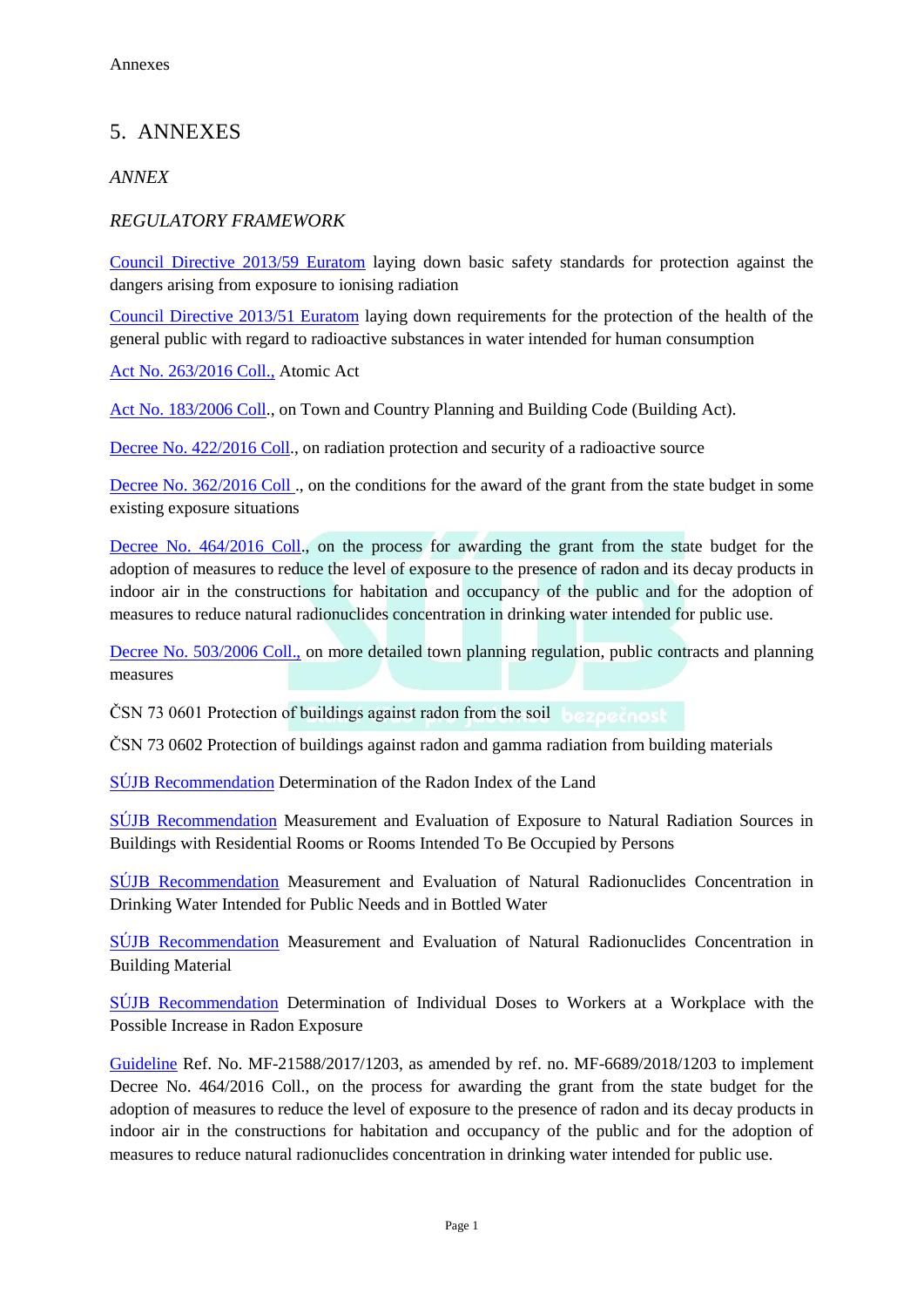# 5. ANNEXES

#### *ANNEX*

#### *REGULATORY FRAMEWORK*

[Council Directive 2013/59 Euratom](http://eur-lex.europa.eu/legal-content/CS/TXT/?qid=1452865839313&uri=CELEX:32013L0059) laying down basic safety standards for protection against the dangers arising from exposure to ionising radiation

[Council Directive 2013/51 Euratom](http://eur-lex.europa.eu/legal-content/CS/TXT/?qid=1452865792351&uri=CELEX:32013L0051) laying down requirements for the protection of the health of the general public with regard to radioactive substances in water intended for human consumption

[Act No. 263/2016 Coll.,](https://www.sujb.cz/fileadmin/sujb/docs/legislativa/263-2016.pdf) Atomic Act

[Act No. 183/2006 Coll.](https://www.zakonyprolidi.cz/cs/2006-183), on Town and Country Planning and Building Code (Building Act).

[Decree No. 422/2016 Coll.](https://www.sujb.cz/fileadmin/sujb/docs/legislativa/vyhlasky/sb0172-2016.pdf), on radiation protection and security of a radioactive source

[Decree No. 362/2016 Coll .](https://www.sujb.cz/fileadmin/sujb/docs/legislativa/vyhlasky/362_2016.pdf), on the conditions for the award of the grant from the state budget in some existing exposure situations

[Decree No. 464/2016 Coll.](https://www.zakonyprolidi.cz/cs/2016-464), on the process for awarding the grant from the state budget for the adoption of measures to reduce the level of exposure to the presence of radon and its decay products in indoor air in the constructions for habitation and occupancy of the public and for the adoption of measures to reduce natural radionuclides concentration in drinking water intended for public use.

[Decree No. 503/2006 Coll.,](https://www.zakonyprolidi.cz/cs/2006-503) on more detailed town planning regulation, public contracts and planning measures

ČSN 73 0601 Protection of buildings against radon from the soil

ČSN 73 0602 Protection of buildings against radon and gamma radiation from building materials

[SÚJB](https://www.sujb.cz/fileadmin/sujb/docs/radiacni-ochrana/PZIZ/doporuceni/171128_Doporuceni_RIP_final.pdf) Recommendation Determination of the Radon Index of the Land

[SÚJB](https://www.sujb.cz/fileadmin/sujb/docs/dokumenty/publikace/DR-RO-5-0-Rev-2-0_Mereni_a_hodnoceni_ozareni_z_prirodnich_zdroju_zareni_ve_stavbach_s_obytnymi_nebo_pobytovymi_mistnostmi_FIN.pdf) Recommendation Measurement and Evaluation of Exposure to Natural Radiation Sources in Buildings with Residential Rooms or Rooms Intended To Be Occupied by Persons

[SÚJB](https://www.sujb.cz/fileadmin/sujb/docs/dokumenty/publikace/DR-RO-5-1-Rev-0-0.pdf) Recommendation Measurement and Evaluation of Natural Radionuclides Concentration in Drinking Water Intended for Public Needs and in Bottled Water

[SÚJB](https://www.sujb.cz/fileadmin/sujb/docs/dokumenty/publikace/DR-RO-5-2-Rev-0-0.pdf) Recommendation Measurement and Evaluation of Natural Radionuclides Concentration in Building Material

[SÚJB](https://www.sujb.cz/fileadmin/sujb/docs/dokumenty/publikace/DR-RO-5-2-Rev-0-0-cj_3924_2018_radon.pdf) Recommendation Determination of Individual Doses to Workers at a Workplace with the Possible Increase in Radon Exposure

[Guideline](http://www.radonovyprogram.cz/fileadmin/radonovyprogram/pdf_doc/METODICKY_POSTUP_ve_zneni_zmen.pdf) Ref. No. MF-21588/2017/1203, as amended by ref. no. MF-6689/2018/1203 to implement Decree No. 464/2016 Coll., on the process for awarding the grant from the state budget for the adoption of measures to reduce the level of exposure to the presence of radon and its decay products in indoor air in the constructions for habitation and occupancy of the public and for the adoption of measures to reduce natural radionuclides concentration in drinking water intended for public use.